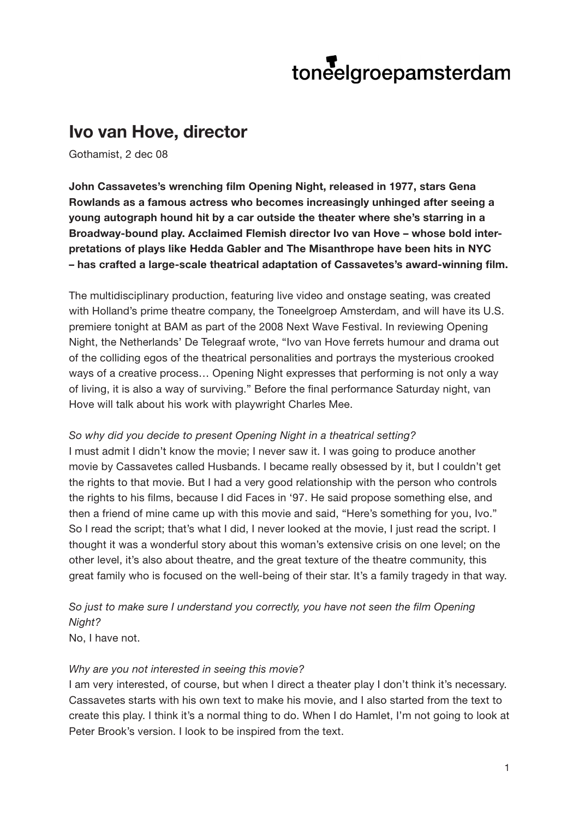# toneelgroepamsterdam

# **Ivo van Hove, director**

Gothamist, 2 dec 08

**John Cassavetes's wrenching film Opening Night, released in 1977, stars Gena Rowlands as a famous actress who becomes increasingly unhinged after seeing a young autograph hound hit by a car outside the theater where she's starring in a Broadway-bound play. Acclaimed Flemish director Ivo van Hove – whose bold interpretations of plays like Hedda Gabler and The Misanthrope have been hits in NYC – has crafted a large-scale theatrical adaptation of Cassavetes's award-winning film.** 

The multidisciplinary production, featuring live video and onstage seating, was created with Holland's prime theatre company, the Toneelgroep Amsterdam, and will have its U.S. premiere tonight at BAM as part of the 2008 Next Wave Festival. In reviewing Opening Night, the Netherlands' De Telegraaf wrote, "Ivo van Hove ferrets humour and drama out of the colliding egos of the theatrical personalities and portrays the mysterious crooked ways of a creative process… Opening Night expresses that performing is not only a way of living, it is also a way of surviving." Before the final performance Saturday night, van Hove will talk about his work with playwright Charles Mee.

#### *So why did you decide to present Opening Night in a theatrical setting?*

I must admit I didn't know the movie; I never saw it. I was going to produce another movie by Cassavetes called Husbands. I became really obsessed by it, but I couldn't get the rights to that movie. But I had a very good relationship with the person who controls the rights to his films, because I did Faces in '97. He said propose something else, and then a friend of mine came up with this movie and said, "Here's something for you, Ivo." So I read the script; that's what I did, I never looked at the movie. I just read the script. I thought it was a wonderful story about this woman's extensive crisis on one level; on the other level, it's also about theatre, and the great texture of the theatre community, this great family who is focused on the well-being of their star. It's a family tragedy in that way.

*So just to make sure I understand you correctly, you have not seen the film Opening Night?* 

No, I have not.

#### *Why are you not interested in seeing this movie?*

I am very interested, of course, but when I direct a theater play I don't think it's necessary. Cassavetes starts with his own text to make his movie, and I also started from the text to create this play. I think it's a normal thing to do. When I do Hamlet, I'm not going to look at Peter Brook's version. I look to be inspired from the text.